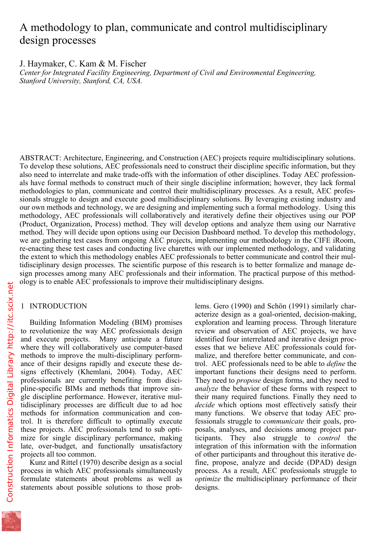# A methodology to plan, communicate and control multidisciplinary design processes

J. Haymaker, C. Kam & M. Fischer *Center for Integrated Facility Engineering, Department of Civil and Environmental Engineering, Stanford University, Stanford, CA, USA.* 

ABSTRACT: Architecture, Engineering, and Construction (AEC) projects require multidisciplinary solutions. To develop these solutions, AEC professionals need to construct their discipline specific information, but they also need to interrelate and make trade-offs with the information of other disciplines. Today AEC professionals have formal methods to construct much of their single discipline information; however, they lack formal methodologies to plan, communicate and control their multidisciplinary processes. As a result, AEC professionals struggle to design and execute good multidisciplinary solutions. By leveraging existing industry and our own methods and technology, we are designing and implementing such a formal methodology. Using this methodology, AEC professionals will collaboratively and iteratively define their objectives using our POP (Product, Organization, Process) method. They will develop options and analyze them using our Narrative method. They will decide upon options using our Decision Dashboard method. To develop this methodology, we are gathering test cases from ongoing AEC projects, implementing our methodology in the CIFE iRoom, re-enacting these test cases and conducting live charettes with our implemented methodology, and validating the extent to which this methodology enables AEC professionals to better communicate and control their multidisciplinary design processes. The scientific purpose of this research is to better formalize and manage design processes among many AEC professionals and their information. The practical purpose of this methodology is to enable AEC professionals to improve their multidisciplinary designs.

# 1 INTRODUCTION

Building Information Modeling (BIM) promises to revolutionize the way AEC professionals design and execute projects. Many anticipate a future where they will collaboratively use computer-based methods to improve the multi-disciplinary performance of their designs rapidly and execute these designs effectively (Khemlani, 2004). Today, AEC professionals are currently benefiting from discipline-specific BIMs and methods that improve single discipline performance. However, iterative multidisciplinary processes are difficult due to ad hoc methods for information communication and control. It is therefore difficult to optimally execute these projects. AEC professionals tend to sub optimize for single disciplinary performance, making late, over-budget, and functionally unsatisfactory projects all too common.

Kunz and Rittel (1970) describe design as a social process in which AEC professionals simultaneously formulate statements about problems as well as statements about possible solutions to those prob-

lems. Gero (1990) and Schön (1991) similarly characterize design as a goal-oriented, decision-making, exploration and learning process. Through literature review and observation of AEC projects, we have identified four interrelated and iterative design processes that we believe AEC professionals could formalize, and therefore better communicate, and control. AEC professionals need to be able to *define* the important functions their designs need to perform. They need to *propose* design forms, and they need to *analyze* the behavior of these forms with respect to their many required functions. Finally they need to *decide* which options most effectively satisfy their many functions. We observe that today AEC professionals struggle to *communicate* their goals, proposals, analyses, and decisions among project participants. They also struggle to *control* the integration of this information with the information of other participants and throughout this iterative define, propose, analyze and decide (DPAD) design process. As a result, AEC professionals struggle to *optimize* the multidisciplinary performance of their designs.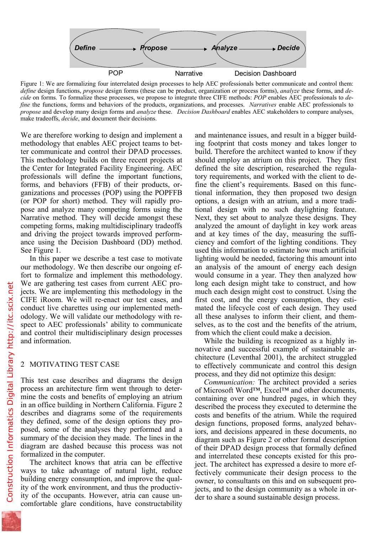

Figure 1: We are formalizing four interrelated design processes to help AEC professionals better communicate and control them: *define* design functions, *propose* design forms (these can be product, organization or process forms), *analyze* these forms, and *decide* on forms. To formalize these processes, we propose to integrate three CIFE methods: *POP* enables AEC professionals to *define* the functions, forms and behaviors of the products, organizations, and processes. *Narratives* enable AEC professionals to *propose* and develop many design forms and *analyze* these.*Decision Dashboard* enables AEC stakeholders to compare analyses, make tradeoffs, *decide*, and document their decisions.

We are therefore working to design and implement a methodology that enables AEC project teams to better communicate and control their DPAD processes. This methodology builds on three recent projects at the Center for Integrated Facility Engineering. AEC professionals will define the important functions, forms, and behaviors (FFB) of their products, organizations and processes (POP) using the POPFFB (or POP for short) method. They will rapidly propose and analyze many competing forms using the Narrative method. They will decide amongst these competing forms, making multidisciplinary tradeoffs and driving the project towards improved performance using the Decision Dashboard (DD) method. See Figure 1.

In this paper we describe a test case to motivate our methodology. We then describe our ongoing effort to formalize and implement this methodology. We are gathering test cases from current AEC projects. We are implementing this methodology in the CIFE iRoom. We will re-enact our test cases, and conduct live charettes using our implemented methodology. We will validate our methodology with respect to AEC professionals' ability to communicate and control their multidisciplinary design processes and information.

### 2 MOTIVATING TEST CASE

This test case describes and diagrams the design process an architecture firm went through to determine the costs and benefits of employing an atrium in an office building in Northern California. Figure 2 describes and diagrams some of the requirements they defined, some of the design options they proposed, some of the analyses they performed and a summary of the decision they made. The lines in the diagram are dashed because this process was not formalized in the computer.

The architect knows that atria can be effective ways to take advantage of natural light, reduce building energy consumption, and improve the quality of the work environment, and thus the productivity of the occupants. However, atria can cause uncomfortable glare conditions, have constructability

and maintenance issues, and result in a bigger building footprint that costs money and takes longer to build. Therefore the architect wanted to know if they should employ an atrium on this project. They first defined the site description, researched the regulatory requirements, and worked with the client to define the client's requirements. Based on this functional information, they then proposed two design options, a design with an atrium, and a more traditional design with no such daylighting feature. Next, they set about to analyze these designs. They analyzed the amount of daylight in key work areas and at key times of the day, measuring the sufficiency and comfort of the lighting conditions. They used this information to estimate how much artificial lighting would be needed, factoring this amount into an analysis of the amount of energy each design would consume in a year. They then analyzed how long each design might take to construct, and how much each design might cost to construct. Using the first cost, and the energy consumption, they estimated the lifecycle cost of each design. They used all these analyses to inform their client, and themselves, as to the cost and the benefits of the atrium, from which the client could make a decision.

While the building is recognized as a highly innovative and successful example of sustainable architecture (Leventhal 2001), the architect struggled to effectively communicate and control this design process, and they did not optimize this design:

*Communication:* The architect provided a series of Microsoft Word™, Excel™ and other documents, containing over one hundred pages, in which they described the process they executed to determine the costs and benefits of the atrium. While the required design functions, proposed forms, analyzed behaviors, and decisions appeared in these documents, no diagram such as Figure 2 or other formal description of their DPAD design process that formally defined and interrelated these concepts existed for this project. The architect has expressed a desire to more effectively communicate their design process to the owner, to consultants on this and on subsequent projects, and to the design community as a whole in order to share a sound sustainable design process.

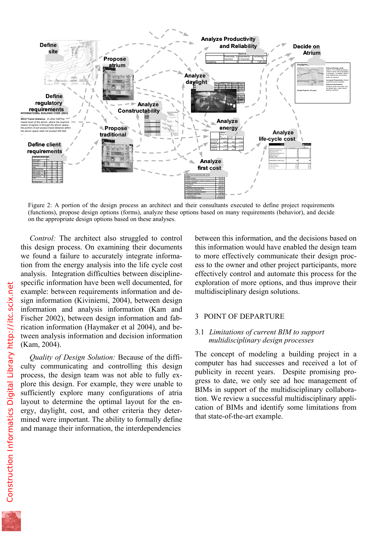

Figure 2: A portion of the design process an architect and their consultants executed to define project requirements (functions), propose design options (forms), analyze these options based on many requirements (behavior), and decide on the appropriate design options based on these analyses.

*Control:* The architect also struggled to control this design process. On examining their documents we found a failure to accurately integrate information from the energy analysis into the life cycle cost analysis. Integration difficulties between disciplinespecific information have been well documented, for example: between requirements information and design information (Kiviniemi, 2004), between design information and analysis information (Kam and Fischer 2002), between design information and fabrication information (Haymaker et al 2004), and between analysis information and decision information (Kam, 2004).

*Quality of Design Solution:* Because of the difficulty communicating and controlling this design process, the design team was not able to fully explore this design. For example, they were unable to sufficiently explore many configurations of atria layout to determine the optimal layout for the energy, daylight, cost, and other criteria they determined were important. The ability to formally define and manage their information, the interdependencies

between this information, and the decisions based on this information would have enabled the design team to more effectively communicate their design process to the owner and other project participants, more effectively control and automate this process for the exploration of more options, and thus improve their multidisciplinary design solutions.

#### 3 POINT OF DEPARTURE

## 3.1 *Limitations of current BIM to support multidisciplinary design processes*

The concept of modeling a building project in a computer has had successes and received a lot of publicity in recent years. Despite promising progress to date, we only see ad hoc management of BIMs in support of the multidisciplinary collaboration. We review a successful multidisciplinary application of BIMs and identify some limitations from that state-of-the-art example.

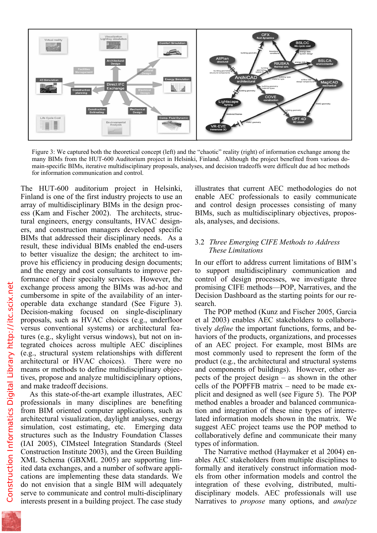

Figure 3: We captured both the theoretical concept (left) and the "chaotic" reality (right) of information exchange among the many BIMs from the HUT-600 Auditorium project in Helsinki, Finland. Although the project benefited from various domain-specific BIMs, iterative multidisciplinary proposals, analyses, and decision tradeoffs were difficult due ad hoc methods for information communication and control.

The HUT-600 auditorium project in Helsinki, Finland is one of the first industry projects to use an array of multidisciplinary BIMs in the design process (Kam and Fischer 2002). The architects, structural engineers, energy consultants, HVAC designers, and construction managers developed specific BIMs that addressed their disciplinary needs. As a result, these individual BIMs enabled the end-users to better visualize the design; the architect to improve his efficiency in producing design documents; and the energy and cost consultants to improve performance of their specialty services. However, the exchange process among the BIMs was ad-hoc and cumbersome in spite of the availability of an interoperable data exchange standard (See Figure 3). Decision-making focused on single-disciplinary proposals, such as HVAC choices (e.g., underfloor versus conventional systems) or architectural features (e.g., skylight versus windows), but not on integrated choices across multiple AEC disciplines (e.g., structural system relationships with different architectural or HVAC choices). There were no means or methods to define multidisciplinary objectives, propose and analyze multidisciplinary options, and make tradeoff decisions.

As this state-of-the-art example illustrates, AEC professionals in many disciplines are benefiting from BIM oriented computer applications, such as architectural visualization, daylight analyses, energy simulation, cost estimating, etc. Emerging data structures such as the Industry Foundation Classes (IAI 2005), CIMsteel Integration Standards (Steel Construction Institute 2003), and the Green Building XML Schema (GBXML 2005) are supporting limited data exchanges, and a number of software applications are implementing these data standards. We do not envision that a single BIM will adequately serve to communicate and control multi-disciplinary interests present in a building project. The case study

illustrates that current AEC methodologies do not enable AEC professionals to easily communicate and control design processes consisting of many BIMs, such as multidisciplinary objectives, proposals, analyses, and decisions.

# 3.2 *Three Emerging CIFE Methods to Address These Limitations*

In our effort to address current limitations of BIM's to support multidisciplinary communication and control of design processes, we investigate three promising CIFE methods—POP, Narratives, and the Decision Dashboard as the starting points for our research.

The POP method (Kunz and Fischer 2005, Garcia et al 2003) enables AEC stakeholders to collaboratively *define* the important functions, forms, and behaviors of the products, organizations, and processes of an AEC project. For example, most BIMs are most commonly used to represent the form of the product (e.g., the architectural and structural systems and components of buildings). However, other aspects of the project design – as shown in the other cells of the POPFFB matrix – need to be made explicit and designed as well (see Figure 5). The POP method enables a broader and balanced communication and integration of these nine types of interrelated information models shown in the matrix. We suggest AEC project teams use the POP method to collaboratively define and communicate their many types of information.

The Narrative method (Haymaker et al 2004) enables AEC stakeholders from multiple disciplines to formally and iteratively construct information models from other information models and control the integration of these evolving, distributed, multidisciplinary models. AEC professionals will use Narratives to *propose* many options, and *analyze*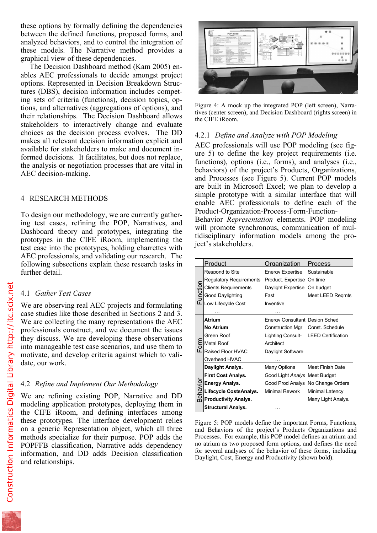between the defined functions, proposed forms, and analyzed behaviors, and to control the integration of these models. The Narrative method provides a graphical view of these dependencies.

The Decision Dashboard method (Kam 2005) enables AEC professionals to decide amongst project options. Represented in Decision Breakdown Structures (DBS), decision information includes competing sets of criteria (functions), decision topics, options, and alternatives (aggregations of options), and their relationships. The Decision Dashboard allows stakeholders to interactively change and evaluate choices as the decision process evolves. The DD makes all relevant decision information explicit and available for stakeholders to make and document informed decisions. It facilitates, but does not replace, the analysis or negotiation processes that are vital in AEC decision-making.

# 4 RESEARCH METHODS

To design our methodology, we are currently gathering test cases, refining the POP, Narratives, and Dashboard theory and prototypes, integrating the prototypes in the CIFE iRoom, implementing the test case into the prototypes, holding charrettes with AEC professionals, and validating our research. The following subsections explain these research tasks in further detail.

## 4.1 *Gather Test Cases*

We are observing real AEC projects and formulating case studies like those described in Sections 2 and 3. We are collecting the many representations the AEC professionals construct, and we document the issues they discuss. We are developing these observations into manageable test case scenarios, and use them to motivate, and develop criteria against which to validate, our work.

# 4.2 *Refine and Implement Our Methodology*

We are refining existing POP, Narrative and DD modeling application prototypes, deploying them in the CIFE iRoom, and defining interfaces among these prototypes. The interface development relies on a generic Representation object, which all three methods specialize for their purpose. POP adds the POPFFB classification, Narrative adds dependency information, and DD adds Decision classification and relationships.



Figure 4: A mock up the integrated POP (left screen), Narratives (center screen), and Decision Dashboard (rights screen) in the CIFE iRoom.

# 4.2.1 *Define and Analyze with POP Modeling*

AEC professionals will use POP modeling (see figure  $5$ ) to define the key project requirements (i.e. functions), options (i.e., forms), and analyses (i.e., behaviors) of the project's Products, Organizations, and Processes (see Figure 5). Current POP models are built in Microsoft Excel; we plan to develop a simple prototype with a similar interface that will enable AEC professionals to define each of the Product-Organization-Process-Form-Function-

Behavior *Representation* elements. POP modeling will promote synchronous, communication of multidisciplinary information models among the project's stakeholders.

|                 | Product                        | Organization                   | Process                   |
|-----------------|--------------------------------|--------------------------------|---------------------------|
| unction<br>ட    | Respond to Site                | Energy Expertise               | Sustainable               |
|                 | <b>Regulatory Requirements</b> | Product. Expertise             | On time                   |
|                 | <b>Clients Requirements</b>    | Daylight Expertise             | On budget                 |
|                 | Good Daylighting               | Fast                           | Meet LEED Regmts          |
|                 | Low Lifecycle Cost             | Inventive                      |                           |
|                 |                                |                                |                           |
|                 | Atrium                         | Energy Consultant Design Sched |                           |
| m<br>or<br>ட்   | No Atrium                      | Construction Mgr               | Const. Schedule           |
|                 | Green Roof                     | Lighting Consult-              | <b>LEED Certification</b> |
|                 | <b>Metal Roof</b>              | Architect                      |                           |
|                 | <b>Raised Floor HVAC</b>       | Daylight Software              |                           |
|                 | Overhead HVAC                  |                                |                           |
| <b>Behavion</b> | Daylight Analys.               | Many Options                   | Meet Finish Date          |
|                 | <b>First Cost Analys.</b>      | Good Light Analys              | Meet Budget               |
|                 | <b>Energy Analys.</b>          | Good Prod Analys               | No Change Orders          |
|                 | Lifecycle CostsAnalys.         | <b>Minimal Rework</b>          | Minimal Latency           |
|                 | <b>Productivity Analys.</b>    |                                | Many Light Analys.        |
|                 | <b>Structural Analys.</b>      |                                |                           |

Figure 5: POP models define the important Forms, Functions, and Behaviors of the project's Products Organizations and Processes. For example, this POP model defines an atrium and no atrium as two proposed form options, and defines the need for several analyses of the behavior of these forms, including Daylight, Cost, Energy and Productivity (shown bold).

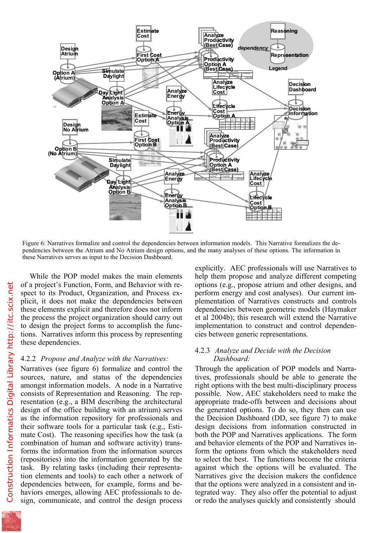

Figure 6: Narratives formalize and control the dependencies between information models. This Narrative formalizes the dependencies between the Atrium and No Atrium design options, and the many analyses of these options. The information in these Narratives serves as input to the Decision Dashboard.

While the POP model makes the main elements of a project's Function, Form, and Behavior with respect to its Product, Organization, and Process explicit, it does not make the dependencies between these elements explicit and therefore does not inform the process the project organization should carry out to design the project forms to accomplish the functions. Narratives inform this process by representing these dependencies.

#### 4.2.2 *Propose and Analyze with the Narratives:*

Narratives (see figure 6) formalize and control the sources, nature, and status of the dependencies amongst information models. A node in a Narrative consists of Representation and Reasoning. The representation (e.g., a BIM describing the architectural design of the office building with an atrium) serves as the information repository for professionals and their software tools for a particular task (e.g., Estimate Cost). The reasoning specifies how the task (a combination of human and software activity) transforms the information from the information sources (repositories) into the information generated by the task. By relating tasks (including their representation elements and tools) to each other a network of dependencies between, for example, forms and behaviors emerges, allowing AEC professionals to design, communicate, and control the design process

explicitly. AEC professionals will use Narratives to help them propose and analyze different competing options (e.g., propose atrium and other designs, and perform energy and cost analyses). Our current implementation of Narratives constructs and controls dependencies between geometric models (Haymaker et al 2004b); this research will extend the Narrative implementation to construct and control dependencies between generic representations.

#### 4.2.3 *Analyze and Decide with the Decision Dashboard:*

Through the application of POP models and Narratives, professionals should be able to generate the right options with the best multi-disciplinary process possible. Now, AEC stakeholders need to make the appropriate trade-offs between and decisions about the generated options. To do so, they then can use the Decision Dashboard (DD, see figure 7) to make design decisions from information constructed in both the POP and Narratives applications. The form and behavior elements of the POP and Narratives inform the options from which the stakeholders need to select the best. The functions become the criteria against which the options will be evaluated. The Narratives give the decision makers the confidence that the options were analyzed in a consistent and integrated way. They also offer the potential to adjust or redo the analyses quickly and consistently should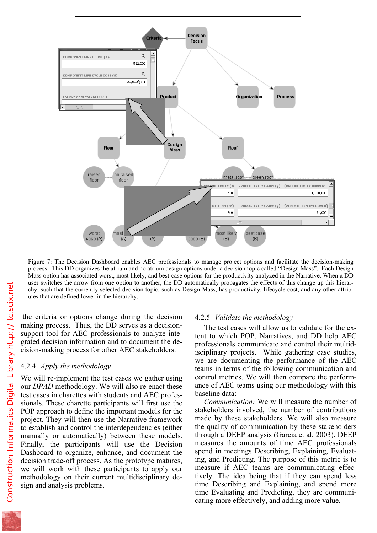

Figure 7: The Decision Dashboard enables AEC professionals to manage project options and facilitate the decision-making process. This DD organizes the atrium and no atrium design options under a decision topic called "Design Mass". Each Design Mass option has associated worst, most likely, and best-case options for the productivity analyzed in the Narrative. When a DD user switches the arrow from one option to another, the DD automatically propagates the effects of this change up this hierarchy, such that the currently selected decision topic, such as Design Mass, has productivity, lifecycle cost, and any other attributes that are defined lower in the hierarchy.

 the criteria or options change during the decision making process. Thus, the DD serves as a decisionsupport tool for AEC professionals to analyze integrated decision information and to document the decision-making process for other AEC stakeholders.

# 4.2.4 *Apply the methodology*

We will re-implement the test cases we gather using our *DPAD* methodology. We will also re-enact these test cases in charettes with students and AEC professionals. These charette participants will first use the POP approach to define the important models for the project. They will then use the Narrative framework to establish and control the interdependencies (either manually or automatically) between these models. Finally, the participants will use the Decision Dashboard to organize, enhance, and document the decision trade-off process. As the prototype matures, we will work with these participants to apply our methodology on their current multidisciplinary design and analysis problems.

### 4.2.5 *Validate the methodology*

The test cases will allow us to validate for the extent to which POP, Narratives, and DD help AEC professionals communicate and control their multidisciplinary projects. While gathering case studies, we are documenting the performance of the AEC teams in terms of the following communication and control metrics. We will then compare the performance of AEC teams using our methodology with this baseline data:

*Communication:* We will measure the number of stakeholders involved, the number of contributions made by these stakeholders. We will also measure the quality of communication by these stakeholders through a DEEP analysis (Garcia et al, 2003). DEEP measures the amounts of time AEC professionals spend in meetings Describing, Explaining, Evaluating, and Predicting. The purpose of this metric is to measure if AEC teams are communicating effectively. The idea being that if they can spend less time Describing and Explaining, and spend more time Evaluating and Predicting, they are communicating more effectively, and adding more value.